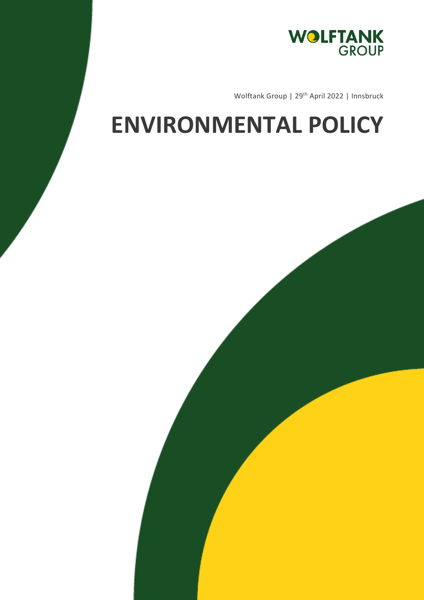

Wolftank Group | 29<sup>th</sup> April 2022 | Innsbruck

## **ENVIRONMENTAL POLICY**